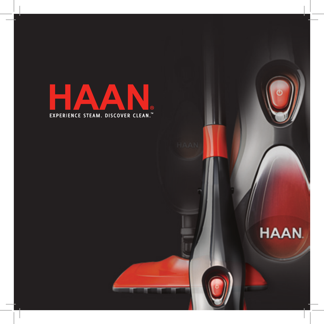

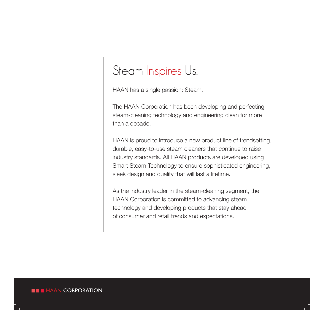# Steam Inspires Us.

HAAN has a single passion: Steam.

The HAAN Corporation has been developing and perfecting steam-cleaning technology and engineering clean for more than a decade.

HAAN is proud to introduce a new product line of trendsetting, durable, easy-to-use steam cleaners that continue to raise industry standards. All HAAN products are developed using Smart Steam Technology to ensure sophisticated engineering, sleek design and quality that will last a lifetime.

As the industry leader in the steam-cleaning segment, the HAAN Corporation is committed to advancing steam technology and developing products that stay ahead of consumer and retail trends and expectations.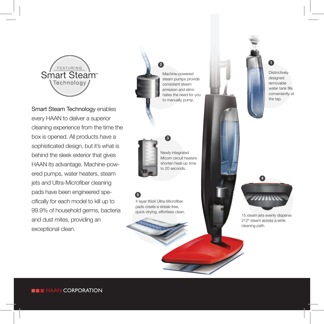

Smart Steam Technology enables every HAAN to deliver a superior cleaning experience from the time the box is opened. All products have a sophisticated design, but it's what is behind the sleek exterior that gives HAAN its advantage. Machine-powered pumps, water heaters, steam jets and Ultra-Microfiber cleaning pads have been engineered specifically for each model to kill up to 99.9% of household germs, bacteria and dust mites, providing an exceptional clean.

Machine-powered steam pumps provide consistent steam emission and eliminates the need for you to manually pump.



Newly integrated Micom circuit heaters shorten heat-up time to 20 seconds.

3

5

4 layer thick Ultra-Microfiber pads create a streak-free, quick-drying, effortless clean. 15 steam iets evenly disperse



**Distinctively** designed removable water tank fills conveniently at the tap.



212º steam across a wide cleaning path.

**HAAN CORPORATION**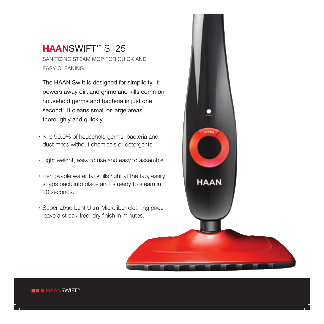#### **HAAN**SWIFT™ SI-25 Sanitizing Steam Mop for Quick and **EASY CLEANING**

The HAAN Swift is designed for simplicity. It powers away dirt and grime and kills common household germs and bacteria in just one second. It cleans small or large areas thoroughly and quickly.

- Kills 99.9% of household germs, bacteria and dust mites without chemicals or detergents.
- Light weight, easy to use and easy to assemble.
- Removable water tank fills right at the tap, easily snaps back into place and is ready to steam in 20 seconds.
- Super-absorbent Ultra-Microfiber cleaning pads leave a streak-free, dry finish in minutes.



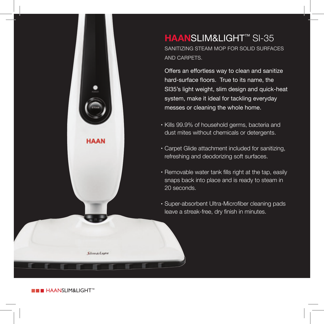**HAAN**SLIM&LIGHT™ SI-35 Sanitizing Steam Mop for Solid Surfaces and Carpets.

Offers an effortless way to clean and sanitize hard-surface floors. True to its name, the SI35's light weight, slim design and quick-heat system, make it ideal for tackling everyday messes or cleaning the whole home.

- Kills 99.9% of household germs, bacteria and dust mites without chemicals or detergents.
- Carpet Glide attachment included for sanitizing, refreshing and deodorizing soft surfaces.
- Removable water tank fills right at the tap, easily snaps back into place and is ready to steam in 20 seconds.
- Super-absorbent Ultra-Microfiber cleaning pads leave a streak-free, dry finish in minutes.

**HAAN** 

Samuelnon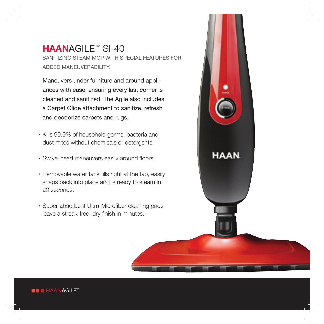# **HAAN**AGILE™ SI-40

Sanitizing Steam Mop with Special Features for Added Maneuverability.

Maneuvers under furniture and around appliances with ease, ensuring every last corner is cleaned and sanitized. The Agile also includes a Carpet Glide attachment to sanitize, refresh and deodorize carpets and rugs.

- Kills 99.9% of household germs, bacteria and dust mites without chemicals or detergents.
- Swivel head maneuvers easily around floors.
- Removable water tank fills right at the tap, easily snaps back into place and is ready to steam in 20 seconds.
- Super-absorbent Ultra-Microfiber cleaning pads leave a streak-free, dry finish in minutes.



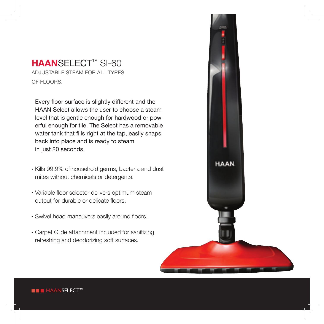#### **HAAN**SELECT™ SI-60 Adjustable Steam for All Types OF FLOORS.

Every floor surface is slightly different and the HAAN Select allows the user to choose a steam level that is gentle enough for hardwood or powerful enough for tile. The Select has a removable water tank that fills right at the tap, easily snaps back into place and is ready to steam in just 20 seconds.

- $\cdot$  Kills 99.9% of household germs, bacteria and dust mites without chemicals or detergents.
- Variable floor selector delivers optimum steam output for durable or delicate floors.
- Swivel head maneuvers easily around floors.
- Carpet Glide attachment included for sanitizing, refreshing and deodorizing soft surfaces.



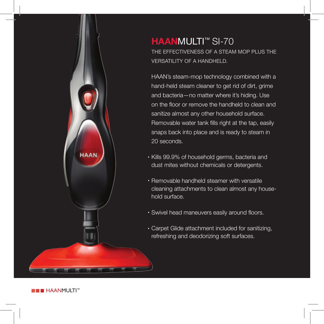

## **HAAN**MULTI™ SI-70 THE EFFECTIVENESS OF A STEAM MOP PLUS THE Versatility of a Handheld.

HAAN's steam-mop technology combined with a hand-held steam cleaner to get rid of dirt, grime and bacteria—no matter where it's hiding. Use on the floor or remove the handheld to clean and sanitize almost any other household surface. Removable water tank fills right at the tap, easily snaps back into place and is ready to steam in 20 seconds.

- Kills 99.9% of household germs, bacteria and dust mites without chemicals or detergents.
- Removable handheld steamer with versatile cleaning attachments to clean almost any household surface.
- Swivel head maneuvers easily around floors.
- Carpet Glide attachment included for sanitizing, refreshing and deodorizing soft surfaces.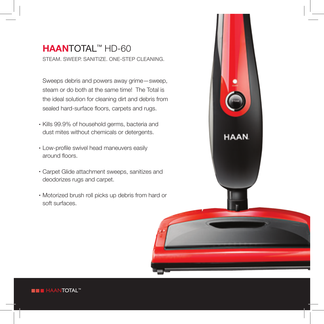## **HAAN**TOTAL™ HD-60 STEAM. SWEEP. SANITIZE. ONE-STEP CLEANING.

Sweeps debris and powers away grime—sweep, steam or do both at the same time! The Total is the ideal solution for cleaning dirt and debris from sealed hard-surface floors, carpets and rugs.

- Kills 99.9% of household germs, bacteria and dust mites without chemicals or detergents.
- Low-profile swivel head maneuvers easily around floors.
- Carpet Glide attachment sweeps, sanitizes and deodorizes rugs and carpet.
- Motorized brush roll picks up debris from hard or soft surfaces.



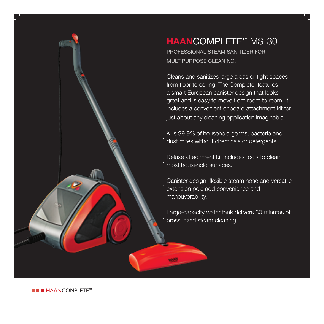

# **HAAN**COMPLETE™ MS-30

PROFESSIONAL STEAM SANITIZER FOR MULTIPURPOSE CLEANING

Cleans and sanitizes large areas or tight spaces from floor to ceiling. The Complete features a smart European canister design that looks great and is easy to move from room to room. It includes a convenient onboard attachment kit for just about any cleaning application imaginable.

Kills 99.9% of household germs, bacteria and dust mites without chemicals or detergents.

Deluxe attachment kit includes tools to clean most household surfaces.

Canister design, flexible steam hose and versatile extension pole add convenience and maneuverability.

Large-capacity water tank delivers 30 minutes of pressurized steam cleaning.

**H** HAANCOMPLETE™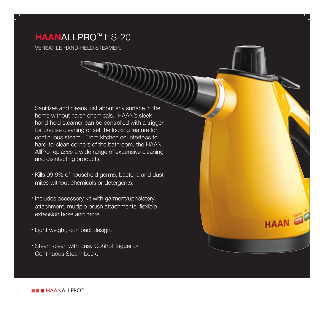## **HAAN**ALLPRO™ HS-20

VERSATILE HAND-HELD STEAMER.

Sanitizes and cleans just about any surface in the home without harsh chemicals. HAAN's sleek hand-held steamer can be controlled with a trigger for precise cleaning or set the locking feature for continuous steam. From kitchen countertops to hard-to-clean corners of the bathroom, the HAAN AllPro replaces a wide range of expensive cleaning and disinfecting products.

- **Kills 99.9% of household germs, bacteria and dust** mites without chemicals or detergents.
- Includes accessory kit with garment/upholstery attachment, multiple brush attachments, flexible extension hose and more.

**HAAN** 

- Light weight, compact design.
- Steam clean with Easy Control Trigger or Continuous Steam Lock.